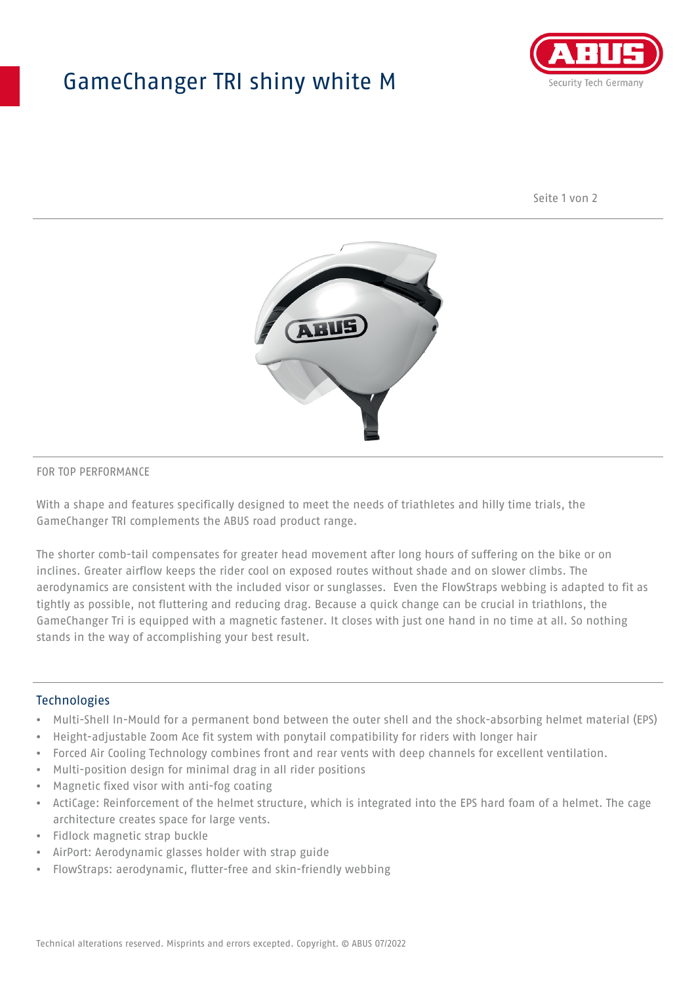## GameChanger TRI shiny white M



Seite 1 von 2



#### FOR TOP PERFORMANCE

With a shape and features specifically designed to meet the needs of triathletes and hilly time trials, the GameChanger TRI complements the ABUS road product range.

The shorter comb-tail compensates for greater head movement after long hours of suffering on the bike or on inclines. Greater airflow keeps the rider cool on exposed routes without shade and on slower climbs. The aerodynamics are consistent with the included visor or sunglasses. Even the FlowStraps webbing is adapted to fit as tightly as possible, not fluttering and reducing drag. Because a quick change can be crucial in triathlons, the GameChanger Tri is equipped with a magnetic fastener. It closes with just one hand in no time at all. So nothing stands in the way of accomplishing your best result.

#### **Technologies**

- Multi-Shell In-Mould for a permanent bond between the outer shell and the shock-absorbing helmet material (EPS)
- Height-adjustable Zoom Ace fit system with ponytail compatibility for riders with longer hair
- Forced Air Cooling Technology combines front and rear vents with deep channels for excellent ventilation.
- Multi-position design for minimal drag in all rider positions
- Magnetic fixed visor with anti-fog coating
- ActiCage: Reinforcement of the helmet structure, which is integrated into the EPS hard foam of a helmet. The cage architecture creates space for large vents.
- Fidlock magnetic strap buckle
- AirPort: Aerodynamic glasses holder with strap guide
- FlowStraps: aerodynamic, flutter-free and skin-friendly webbing